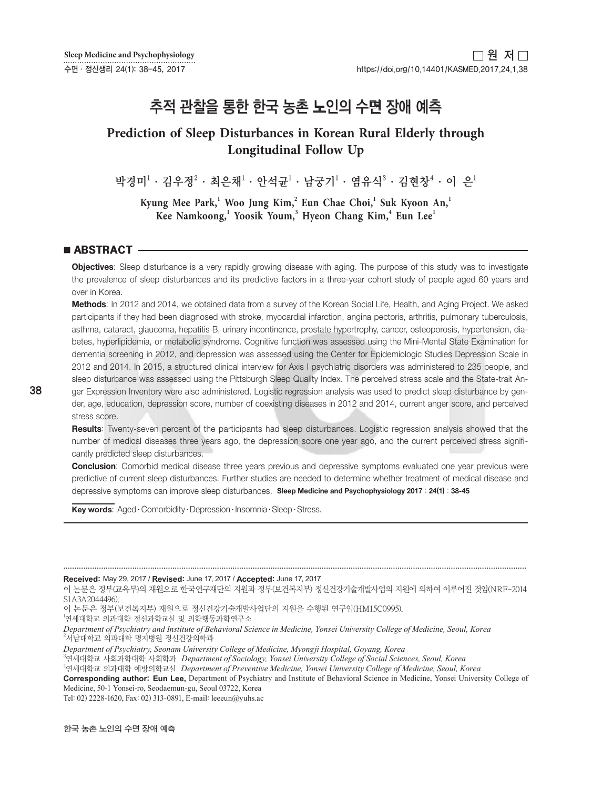# 추적 관찰을 통한 한국 농촌 노인의 수면 장애 예측

# **Prediction of Sleep Disturbances in Korean Rural Elderly through Longitudinal Follow Up**

박경미 $^1\cdot$  김우정 $^2\cdot$  최은채 $^1\cdot$  안석균 $^1\cdot$  남궁기 $^1\cdot$  염유식 $^3\cdot$  김현창 $^4\cdot$  이 은 $^1$ 

**Kyung Mee Park,<sup>1</sup> Woo Jung Kim,<sup>2</sup> Eun Chae Choi,<sup>1</sup> Suk Kyoon An,<sup>1</sup> Kee Namkoong,<sup>1</sup> Yoosik Youm,<sup>3</sup> Hyeon Chang Kim,<sup>4</sup> Eun Lee<sup>1</sup>**

### $\blacksquare$  ABSTRACT  $\blacksquare$

Objectives: Sleep disturbance is a very rapidly growing disease with aging. The purpose of this study was to investigate the prevalence of sleep disturbances and its predictive factors in a three-year cohort study of people aged 60 years and over in Korea.

Methods: In 2012 and 2014, we obtained data from a survey of the Korean Social Life, Health, and Aging Project. We asked participants if they had been diagnosed with stroke, myocardial infarction, angina pectoris, arthritis, pulmonary tuberculosis, asthma, cataract, glaucoma, hepatitis B, urinary incontinence, prostate hypertrophy, cancer, osteoporosis, hypertension, diabetes, hyperlipidemia, or metabolic syndrome. Cognitive function was assessed using the Mini-Mental State Examination for dementia screening in 2012, and depression was assessed using the Center for Epidemiologic Studies Depression Scale in 2012 and 2014. In 2015, a structured clinical interview for Axis I psychiatric disorders was administered to 235 people, and sleep disturbance was assessed using the Pittsburgh Sleep Quality Index. The perceived stress scale and the State-trait Anger Expression Inventory were also administered. Logistic regression analysis was used to predict sleep disturbance by gender, age, education, depression score, number of coexisting diseases in 2012 and 2014, current anger score, and perceived stress score.

Results: Twenty-seven percent of the participants had sleep disturbances. Logistic regression analysis showed that the number of medical diseases three years ago, the depression score one year ago, and the current perceived stress significantly predicted sleep disturbances.

**Conclusion:** Comorbid medical disease three years previous and depressive symptoms evaluated one year previous were predictive of current sleep disturbances. Further studies are needed to determine whether treatment of medical disease and depressive symptoms can improve sleep disturbances. Sleep Medicine and Psychophysiology 2017 ; 24(1) : 38-45

Key words: Aged · Comorbidity · Depression · Insomnia · Sleep · Stress.

**Received:** May 29, 2017 / **Revised:** June 17, 2017 / **Accepted:** June 17, 2017

이 논문은 정부(교육부)의 재원으로 한국연구재단의 지원과 정부(보건복지부) 정신건강기술개발사업의 지원에 의하여 이루어진 것임(NRF-2014 S1A3A2044496).

................................................................................................................................................................................................................

<sup>이</sup> 논문은 정부(보건복지부) 재원으로 정신건강기술개발사업단의 지원을 수행된 연구임(HM15C0995). <sup>1</sup>

연세대학교 의과대학 정신과학교실 및 의학행동과학연구소

*Department of Psychiatry and Institute of Behavioral Science in Medicine, Yonsei University College of Medicine, Seoul, Korea*  $^{2}$ 서남대학교 의과대학 명지병원 정신건강의학과

*Department of Psychiatry, Seonam University College of Medicine, Myongji Hospital, Goyang, Korea*

3 연세대학교 사회과학대학 사회학과 *Department of Sociology, Yonsei University College of Social Sciences, Seoul, Korea*

**Corresponding author: Eun Lee,** Department of Psychiatry and Institute of Behavioral Science in Medicine, Yonsei University College of Medicine, 50-1 Yonsei-ro, Seodaemun-gu, Seoul 03722, Korea

Tel: 02) 2228-1620, Fax: 02) 313-0891, E-mail: leeeun@yuhs.ac

<sup>4</sup> 연세대학교 의과대학 예방의학교실 *Department of Preventive Medicine, Yonsei University College of Medicine, Seoul, Korea*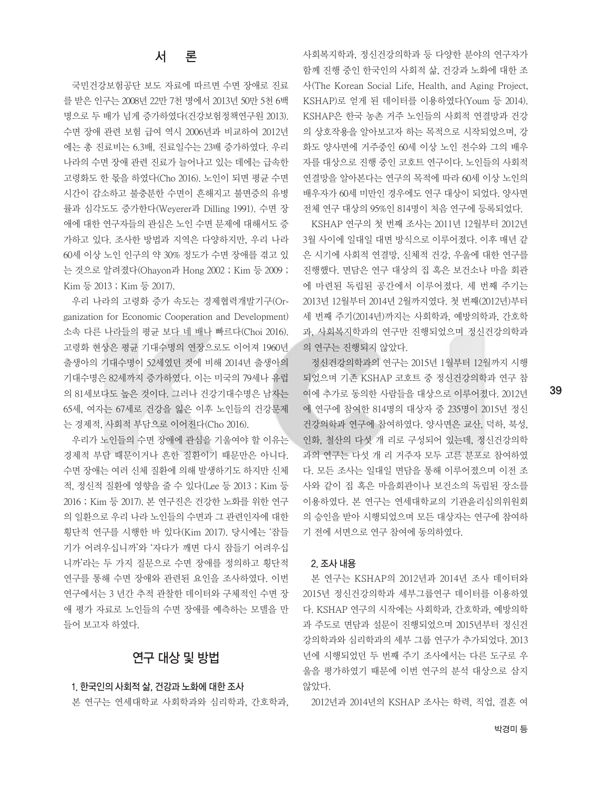국민건강보험공단 보도 자료에 따르면 수면 장애로 진료 를 받은 인구는 2008년 22만 7천 명에서 2013년 50만 5천 6백 명으로 두 배가 넘게 증가하였다(건강보험정책연구원 2013). 수면 장애 관련 보험 급여 역시 2006년과 비교하여 2012년 에는 총 진료비는 6.3배, 진료일수는 23배 증가하였다. 우리 나라의 수면 장애 관련 진료가 늘어나고 있는 데에는 급속한 고령화도 한 몫을 하였다(Cho 2016). 노인이 되면 평균 수면 시간이 감소하고 불충분한 수면이 흔해지고 불면증의 유병 률과 심각도도 증가한다(Weyerer과 Dilling 1991). 수면 장 애에 대한 연구자들의 관심은 노인 수면 문제에 대해서도 증 가하고 있다. 조사한 방법과 지역은 다양하지만, 우리 나라 60세 이상 노인 인구의 약 30% 정도가 수면 장애를 겪고 있 는 것으로 알려졌다(Ohayon과 Hong 2002 ; Kim 등 2009 ; Kim 등 2013 ; Kim 등 2017).

우리 나라의 고령화 증가 속도는 경제협력개발기구(Organization for Economic Cooperation and Development) 소속 다른 나라들의 평균 보다 네 배나 빠르다(Choi 2016). 고령화 현상은 평균 기대수명의 연장으로도 이어져 1960년 출생아의 기대수명이 52세였던 것에 비해 2014년 출생아의 기대수명은 82세까지 증가하였다. 이는 미국의 79세나 유럽 의 81세보다도 높은 것이다. 그러나 건강기대수명은 남자는 65세, 여자는 67세로 건강을 잃은 이후 노인들의 건강문제 는 경제적, 사회적 부담으로 이어진다(Cho 2016).

우리가 노인들의 수면 장애에 관심을 기울여야 할 이유는 경제적 부담 때문이거나 흔한 질환이기 때문만은 아니다. 수면 장애는 여러 신체 질환에 의해 발생하기도 하지만 신체 적, 정신적 질환에 영향을 줄 수 있다(Lee 등 2013 ; Kim 등 2016 ; Kim 등 2017). 본 연구진은 건강한 노화를 위한 연구 의 일환으로 우리 나라 노인들의 수면과 그 관련인자에 대한 횡단적 연구를 시행한 바 있다(Kim 2017). 당시에는 '잠들 기가 어려우십니까'와 '자다가 깨면 다시 잠들기 어려우십 니까'라는 두 가지 질문으로 수면 장애를 정의하고 횡단적 연구를 통해 수면 장애와 관련된 요인을 조사하였다. 이번 연구에서는 3 년간 추적 관찰한 데이터와 구체적인 수면 장 애 평가 자료로 노인들의 수면 장애를 예측하는 모델을 만 들어 보고자 하였다.

# 연구 대상 및 방법

#### 1. 한국인의 사회적 삶, 건강과 노화에 대한 조사

본 연구는 연세대학교 사회학과와 심리학과, 간호학과,

사회복지학과, 정신건강의학과 등 다양한 분야의 연구자가 함께 진행 중인 한국인의 사회적 삶, 건강과 노화에 대한 조 사(The Korean Social Life, Health, and Aging Project, KSHAP)로 얻게 된 데이터를 이용하였다(Youm 등 2014). KSHAP은 한국 농촌 거주 노인들의 사회적 연결망과 건강 의 상호작용을 알아보고자 하는 목적으로 시작되었으며, 강 화도 양사면에 거주중인 60세 이상 노인 전수와 그의 배우 자를 대상으로 진행 중인 코호트 연구이다. 노인들의 사회적 연결망을 알아본다는 연구의 목적에 따라 60세 이상 노인의 배우자가 60세 미만인 경우에도 연구 대상이 되었다. 양사면 전체 연구 대상의 95%인 814명이 처음 연구에 등록되었다.

KSHAP 연구의 첫 번째 조사는 2011년 12월부터 2012년 3월 사이에 일대일 대면 방식으로 이루어졌다. 이후 매년 같 은 시기에 사회적 연결망, 신체적 건강, 우울에 대한 연구를 진행했다. 면담은 연구 대상의 집 혹은 보건소나 마을 회관 에 마련된 독립된 공간에서 이루어졌다. 세 번째 주기는 2013년 12월부터 2014년 2월까지였다. 첫 번째(2012년)부터 세 번째 주기(2014년)까지는 사회학과, 예방의학과, 간호학 과, 사회복지학과의 연구만 진행되었으며 정신건강의학과 의 연구는 진행되지 않았다.

정신건강의학과의 연구는 2015년 1월부터 12월까지 시행 되었으며 기존 KSHAP 코호트 중 정신건강의학과 연구 참 여에 추가로 동의한 사람들을 대상으로 이루어졌다. 2012년 에 연구에 참여한 814명의 대상자 중 235명이 2015년 정신 건강의학과 연구에 참여하였다. 양사면은 교산, 덕하, 북성, 인화, 철산의 다섯 개 리로 구성되어 있는데, 정신건강의학 과의 연구는 다섯 개 리 거주자 모두 고른 분포로 참여하였 다. 모든 조사는 일대일 면담을 통해 이루어졌으며 이전 조 사와 같이 집 혹은 마을회관이나 보건소의 독립된 장소를 이용하였다. 본 연구는 연세대학교의 기관윤리심의위원회 의 승인을 받아 시행되었으며 모든 대상자는 연구에 참여하 기 전에 서면으로 연구 참여에 동의하였다.

#### 2. 조사 내용

본 연구는 KSHAP의 2012년과 2014년 조사 데이터와 2015년 정신건강의학과 세부그룹연구 데이터를 이용하였 다. KSHAP 연구의 시작에는 사회학과, 간호학과, 예방의학 과 주도로 면담과 설문이 진행되었으며 2015년부터 정신건 강의학과와 심리학과의 세부 그룹 연구가 추가되었다. 2013 년에 시행되었던 두 번째 주기 조사에서는 다른 도구로 우 울을 평가하였기 때문에 이번 연구의 분석 대상으로 삼지 않았다.

2012년과 2014년의 KSHAP 조사는 학력, 직업, 결혼 여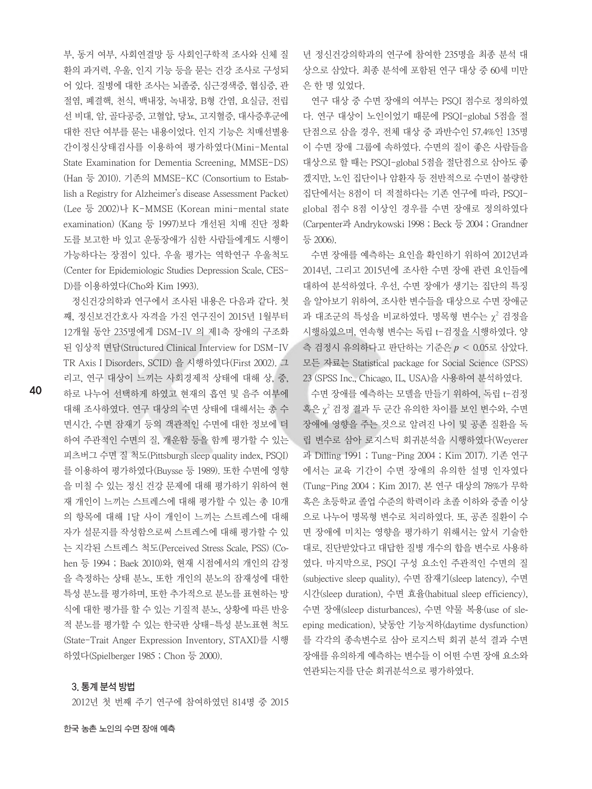부, 동거 여부, 사회연결망 등 사회인구학적 조사와 신체 질 환의 과거력, 우울, 인지 기능 등을 묻는 건강 조사로 구성되 어 있다. 질병에 대한 조사는 뇌졸중, 심근경색증, 협심증, 관 절염, 폐결핵, 천식, 백내장, 녹내장, B형 간염, 요실금, 전립 선 비대, 암, 골다공증, 고혈압, 당뇨, 고지혈증, 대사증후군에 대한 진단 여부를 묻는 내용이었다. 인지 기능은 치매선별용 간이정신상태검사를 이용하여 평가하였다(Mini-Mental State Examination for Dementia Screening, MMSE-DS) (Han 등 2010). 기존의 MMSE-KC (Consortium to Establish a Registry for Alzheimer's disease Assessment Packet) (Lee 등 2002)나 K-MMSE (Korean mini-mental state examination) (Kang 등 1997)보다 개선된 치매 진단 정확 도를 보고한 바 있고 운동장애가 심한 사람들에게도 시행이 가능하다는 장점이 있다. 우울 평가는 역학연구 우울척도 (Center for Epidemiologic Studies Depression Scale, CES-D)를 이용하였다(Cho와 Kim 1993).

정신건강의학과 연구에서 조사된 내용은 다음과 같다. 첫

째, 정신보건간호사 자격을 가진 연구진이 2015년 1월부터 12개월 동안 235명에게 DSM-IV 의 제1축 장애의 구조화 된 임상적 면담(Structured Clinical Interview for DSM-IV TR Axis I Disorders, SCID) 을 시행하였다(First 2002). 그 리고, 연구 대상이 느끼는 사회경제적 상태에 대해 상, 중, 하로 나누어 선택하게 하였고 현재의 흡연 및 음주 여부에 대해 조사하였다. 연구 대상의 수면 상태에 대해서는 총 수 면시간, 수면 잠재기 등의 객관적인 수면에 대한 정보에 더 하여 주관적인 수면의 질, 개운함 등을 함께 평가할 수 있는 피츠버그 수면 질 척도(Pittsburgh sleep quality index, PSQI) 를 이용하여 평가하였다(Buysse 등 1989). 또한 수면에 영향 을 미칠 수 있는 정신 건강 문제에 대해 평가하기 위하여 현 재 개인이 느끼는 스트레스에 대해 평가할 수 있는 총 10개 의 항목에 대해 1달 사이 개인이 느끼는 스트레스에 대해 자가 설문지를 작성함으로써 스트레스에 대해 평가할 수 있 는 지각된 스트레스 척도(Perceived Stress Scale, PSS) (Cohen 등 1994 ; Baek 2010)와, 현재 시점에서의 개인의 감정 을 측정하는 상태 분노, 또한 개인의 분노의 잠재성에 대한 특성 분노를 평가하며, 또한 추가적으로 분노를 표현하는 방 식에 대한 평가를 할 수 있는 기질적 분노, 상황에 따른 반응 적 분노를 평가할 수 있는 한국판 상태-특성 분노표현 척도 (State-Trait Anger Expression Inventory, STAXI)를 시행 하였다(Spielberger 1985 ; Chon 등 2000).

#### 3. 통계 분석 방법

2012년 첫 번째 주기 연구에 참여하였던 814명 중 2015

년 정신건강의학과의 연구에 참여한 235명을 최종 분석 대 상으로 삼았다. 최종 분석에 포함된 연구 대상 중 60세 미만 은 한 명 있었다.

연구 대상 중 수면 장애의 여부는 PSQI 점수로 정의하였 다. 연구 대상이 노인이었기 때문에 PSQI-global 5점을 절 단점으로 삼을 경우, 전체 대상 중 과반수인 57.4%인 135명 이 수면 장애 그룹에 속하였다. 수면의 질이 좋은 사람들을 대상으로 할 때는 PSQI-global 5점을 절단점으로 삼아도 좋 겠지만, 노인 집단이나 암환자 등 전반적으로 수면이 불량한 집단에서는 8점이 더 적절하다는 기존 연구에 따라, PSQIglobal 점수 8점 이상인 경우를 수면 장애로 정의하였다 (Carpenter과 Andrykowski 1998 ; Beck 등 2004 ; Grandner 등 2006).

수면 장애를 예측하는 요인을 확인하기 위하여 2012년과 2014년, 그리고 2015년에 조사한 수면 장애 관련 요인들에 대하여 분석하였다. 우선, 수면 장애가 생기는 집단의 특징 을 알아보기 위하여, 조사한 변수들을 대상으로 수면 장애군 과 대조군의 특성을 비교하였다. 명목형 변수는  $\chi^2$  검정을 시행하였으며, 연속형 변수는 독립 t-검정을 시행하였다. 양 측 검정시 유의하다고 판단하는 기준은 *p* < 0.05로 삼았다. 모든 자료는 Statistical package for Social Science (SPSS) 23 (SPSS Inc., Chicago, IL, USA)을 사용하여 분석하였다.

수면 장애를 예측하는 모델을 만들기 위하여, 독립 t-검정 혹은 χ<sup>2</sup> 검정 결과 두 군간 유의한 차이를 보인 변수와, 수면 장애에 영향을 주는 것으로 알려진 나이 및 공존 질환을 독 립 변수로 삼아 로지스틱 회귀분석을 시행하였다(Weyerer 과 Dilling 1991 ; Tung-Ping 2004 ; Kim 2017). 기존 연구 에서는 교육 기간이 수면 장애의 유의한 설명 인자였다 (Tung-Ping 2004 ; Kim 2017). 본 연구 대상의 78%가 무학 혹은 초등학교 졸업 수준의 학력이라 초졸 이하와 중졸 이상 으로 나누어 명목형 변수로 처리하였다. 또, 공존 질환이 수 면 장애에 미치는 영향을 평가하기 위해서는 앞서 기술한 대로, 진단받았다고 대답한 질병 개수의 합을 변수로 사용하 였다. 마지막으로, PSQI 구성 요소인 주관적인 수면의 질 (subjective sleep quality), 수면 잠재기(sleep latency), 수면 시간(sleep duration), 수면 효율(habitual sleep efficiency), 수면 장애(sleep disturbances), 수면 약물 복용(use of sleeping medication), 낮동안 기능저하(daytime dysfunction) 를 각각의 종속변수로 삼아 로지스틱 회귀 분석 결과 수면 장애를 유의하게 예측하는 변수들 이 어떤 수면 장애 요소와 연관되는지를 단순 회귀분석으로 평가하였다.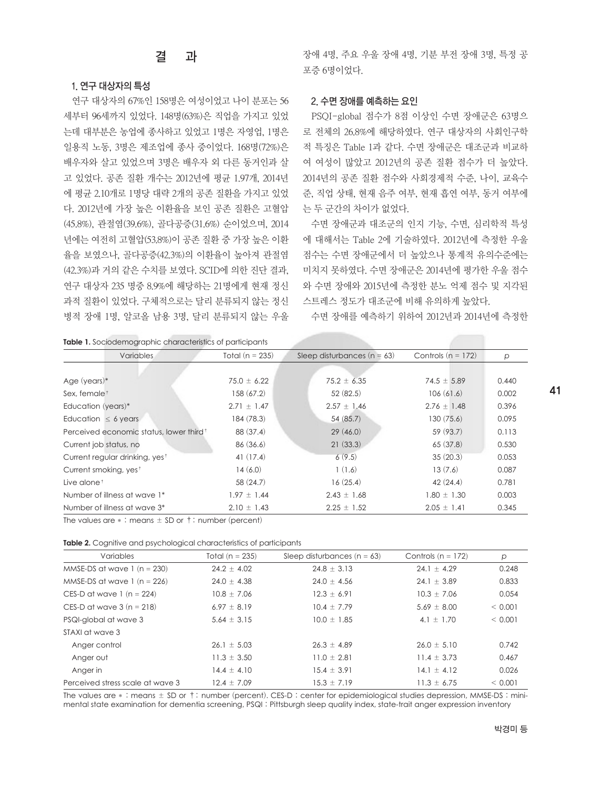#### 1. 연구 대상자의 특성

연구 대상자의 67%인 158명은 여성이었고 나이 분포는 56 세부터 96세까지 있었다. 148명(63%)은 직업을 가지고 있었 는데 대부분은 농업에 종사하고 있었고 1명은 자영업, 1명은 일용직 노동, 3명은 제조업에 종사 중이었다. 168명(72%)은 배우자와 살고 있었으며 3명은 배우자 외 다른 동거인과 살 고 있었다. 공존 질환 개수는 2012년에 평균 1.97개, 2014년 에 평균 2.10개로 1명당 대략 2개의 공존 질환을 가지고 있었 다. 2012년에 가장 높은 이환율을 보인 공존 질환은 고혈압 (45.8%), 관절염(39.6%), 골다공증(31.6%) 순이었으며, 2014 년에는 여전히 고혈압(53.8%)이 공존 질환 중 가장 높은 이환 율을 보였으나, 골다공증(42.3%)의 이환율이 높아져 관절염 (42.3%)과 거의 같은 수치를 보였다. SCID에 의한 진단 결과, 연구 대상자 235 명중 8.9%에 해당하는 21명에게 현재 정신 과적 질환이 있었다. 구체적으로는 달리 분류되지 않는 정신 병적 장애 1명, 알코올 남용 3명, 달리 분류되지 않는 우울

장애 4명, 주요 우울 장애 4명, 기분 부전 장애 3명, 특정 공 포증 6명이었다.

#### 2. 수면 장애를 예측하는 요인

PSQI-global 점수가 8점 이상인 수면 장애군은 63명으 로 전체의 26.8%에 해당하였다. 연구 대상자의 사회인구학 적 특징은 Table 1과 같다. 수면 장애군은 대조군과 비교하 여 여성이 많았고 2012년의 공존 질환 점수가 더 높았다. 2014년의 공존 질환 점수와 사회경제적 수준, 나이, 교육수 준, 직업 상태, 현재 음주 여부, 현재 흡연 여부, 동거 여부에 는 두 군간의 차이가 없었다.

수면 장애군과 대조군의 인지 기능, 수면, 심리학적 특성 에 대해서는 Table 2에 기술하였다. 2012년에 측정한 우울 점수는 수면 장애군에서 더 높았으나 통계적 유의수준에는 미치지 못하였다. 수면 장애군은 2014년에 평가한 우울 점수 와 수면 장애와 2015년에 측정한 분노 억제 점수 및 지각된 스트레스 정도가 대조군에 비해 유의하게 높았다.

수면 장애를 예측하기 위하여 2012년과 2014년에 측정한

| Table 1. Sociodemographic characteristics of participants |                   |                               |                      |       |  |  |  |  |  |
|-----------------------------------------------------------|-------------------|-------------------------------|----------------------|-------|--|--|--|--|--|
| <b>Variables</b>                                          | Total $(n = 235)$ | Sleep disturbances $(n = 63)$ | Controls $(n = 172)$ | p     |  |  |  |  |  |
|                                                           |                   |                               |                      |       |  |  |  |  |  |
| Age $(years)*$                                            | $75.0 \pm 6.22$   | $75.2 \pm 6.35$               | $74.5 \pm 5.89$      | 0.440 |  |  |  |  |  |
| Sex, female <sup>t</sup>                                  | 158 (67.2)        | 52(82.5)                      | 106(61.6)            | 0.002 |  |  |  |  |  |
| Education (years)*                                        | $2.71 \pm 1.47$   | $2.57 \pm 1.46$               | $2.76 \pm 1.48$      | 0.396 |  |  |  |  |  |
| Education $\leq$ 6 years                                  | 184 (78.3)        | 54 (85.7)                     | 130(75.6)            | 0.095 |  |  |  |  |  |
| Perceived economic status, lower third <sup>+</sup>       | 88 (37.4)         | 29(46.0)                      | 59 (93.7)            | 0.113 |  |  |  |  |  |
| Current job status, no                                    | 86 (36.6)         | 21(33.3)                      | 65(37.8)             | 0.530 |  |  |  |  |  |
| Current regular drinking, yes <sup>+</sup>                | 41(17.4)          | 6(9.5)                        | 35(20.3)             | 0.053 |  |  |  |  |  |
| Current smoking, yes <sup>+</sup>                         | 14(6.0)           | 1(1.6)                        | 13(7.6)              | 0.087 |  |  |  |  |  |
| Live alone <sup>†</sup>                                   | 58 (24.7)         | 16(25.4)                      | 42(24.4)             | 0.781 |  |  |  |  |  |
| Number of illness at wave 1*                              | $1.97 \pm 1.44$   | $2.43 \pm 1.68$               | $1.80 \pm 1.30$      | 0.003 |  |  |  |  |  |
| Number of illness at wave 3*                              | $2.10 \pm 1.43$   | $2.25 \pm 1.52$               | $2.05 \pm 1.41$      | 0.345 |  |  |  |  |  |

The values are  $*$ : means  $\pm$  SD or  $\dagger$ : number (percent)

|  |  |  |  |  |  | Table 2. Cognitive and psychological characteristics of participants |
|--|--|--|--|--|--|----------------------------------------------------------------------|
|--|--|--|--|--|--|----------------------------------------------------------------------|

| Variables                        | Total $(n = 235)$ | Sleep disturbances ( $n = 63$ ) | Controls $(n = 172)$ | р       |
|----------------------------------|-------------------|---------------------------------|----------------------|---------|
| MMSE-DS at wave $1(n = 230)$     | $24.2 \pm 4.02$   | $24.8 \pm 3.13$                 | $24.1 \pm 4.29$      | 0.248   |
| MMSE-DS at wave $1(n = 226)$     | $24.0 \pm 4.38$   | $24.0 \pm 4.56$                 | $24.1 \pm 3.89$      | 0.833   |
| CES-D at wave $1(n = 224)$       | $10.8 \pm 7.06$   | $12.3 \pm 6.91$                 | $10.3 \pm 7.06$      | 0.054   |
| CES-D at wave $3(n = 218)$       | $6.97 \pm 8.19$   | $10.4 \pm 7.79$                 | $5.69 \pm 8.00$      | < 0.001 |
| PSQI-global at wave 3            | $5.64 \pm 3.15$   | $10.0 \pm 1.85$                 | $4.1 \pm 1.70$       | < 0.001 |
| STAXI at wave 3                  |                   |                                 |                      |         |
| Anger control                    | $26.1 \pm 5.03$   | $26.3 \pm 4.89$                 | $26.0 \pm 5.10$      | 0.742   |
| Anger out                        | $11.3 \pm 3.50$   | $11.0 \pm 2.81$                 | $11.4 \pm 3.73$      | 0.467   |
| Anger in                         | $14.4 \pm 4.10$   | $15.4 \pm 3.91$                 | $14.1 \pm 4.12$      | 0.026   |
| Perceived stress scale at wave 3 | $12.4 \pm 7.09$   | $15.3 \pm 7.19$                 | $11.3 \pm 6.75$      | < 0.001 |

The values are \* : means ± SD or †: number (percent). CES-D : center for epidemiological studies depression, MMSE-DS : minimental state examination for dementia screening, PSQI : Pittsburgh sleep quality index, state-trait anger expression inventory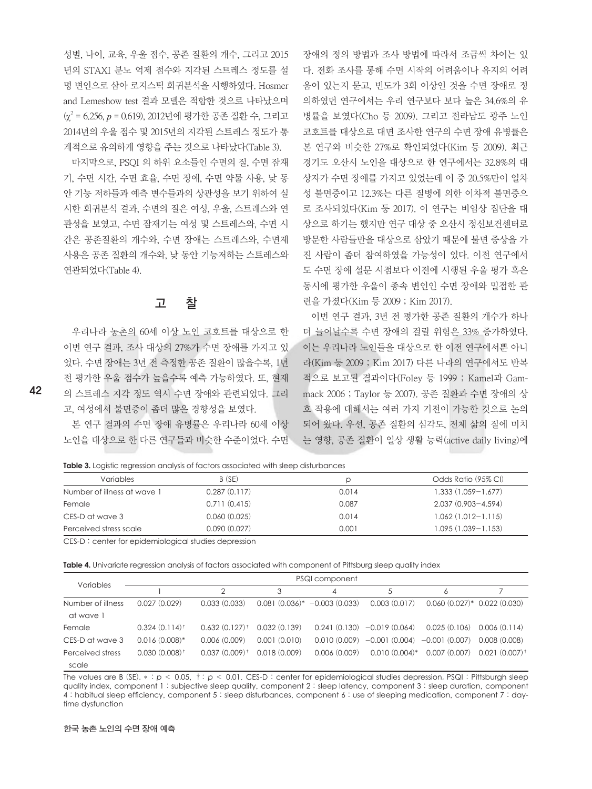성별, 나이, 교육, 우울 점수, 공존 질환의 개수, 그리고 2015 년의 STAXI 분노 억제 점수와 지각된 스트레스 정도를 설 명 변인으로 삼아 로지스틱 회귀분석을 시행하였다. Hosmer and Lemeshow test 결과 모델은 적합한 것으로 나타났으며 (χ<sup>2</sup> = 6.256, *p* = 0.619), 2012년에 평가한 공존 질환 수, 그리고 2014년의 우울 점수 및 2015년의 지각된 스트레스 정도가 통 계적으로 유의하게 영향을 주는 것으로 나타났다(Table 3).

마지막으로, PSQI 의 하위 요소들인 수면의 질, 수면 잠재 기, 수면 시간, 수면 효율, 수면 장애, 수면 약물 사용, 낮 동 안 기능 저하들과 예측 변수들과의 상관성을 보기 위하여 실 시한 회귀분석 결과, 수면의 질은 여성, 우울, 스트레스와 연 관성을 보였고, 수면 잠재기는 여성 및 스트레스와, 수면 시 간은 공존질환의 개수와, 수면 장애는 스트레스와, 수면제 사용은 공존 질환의 개수와, 낮 동안 기능저하는 스트레스와 연관되었다(Table 4).

## 고 찰

우리나라 농촌의 60세 이상 노인 코호트를 대상으로 한 이번 연구 결과, 조사 대상의 27%가 수면 장애를 가지고 있 었다. 수면 장애는 3년 전 측정한 공존 질환이 많을수록, 1년 전 평가한 우울 점수가 높을수록 예측 가능하였다. 또, 현재 의 스트레스 지각 정도 역시 수면 장애와 관련되었다. 그리 고, 여성에서 불면증이 좀더 많은 경향성을 보였다.

본 연구 결과의 수면 장애 유병률은 우리나라 60세 이상 노인을 대상으로 한 다른 연구들과 비슷한 수준이었다. 수면 장애의 정의 방법과 조사 방법에 따라서 조금씩 차이는 있 다. 전화 조사를 통해 수면 시작의 어려움이나 유지의 어려 움이 있는지 묻고, 빈도가 3회 이상인 것을 수면 장애로 정 의하였던 연구에서는 우리 연구보다 보다 높은 34.6%의 유 병률을 보였다(Cho 등 2009). 그리고 전라남도 광주 노인 코호트를 대상으로 대면 조사한 연구의 수면 장애 유병률은 본 연구와 비슷한 27%로 확인되었다(Kim 등 2009). 최근 경기도 오산시 노인을 대상으로 한 연구에서는 32.8%의 대 상자가 수면 장애를 가지고 있었는데 이 중 20.5%만이 일차 성 불면증이고 12.3%는 다른 질병에 의한 이차적 불면증으 로 조사되었다(Kim 등 2017). 이 연구는 비임상 집단을 대 상으로 하기는 했지만 연구 대상 중 오산시 정신보건센터로 방문한 사람들만을 대상으로 삼았기 때문에 불면 증상을 가 진 사람이 좀더 참여하였을 가능성이 있다. 이전 연구에서 도 수면 장애 설문 시점보다 이전에 시행된 우울 평가 혹은 동시에 평가한 우울이 종속 변인인 수면 장애와 밀접한 관 련을 가졌다(Kim 등 2009 ; Kim 2017).

이번 연구 결과, 3년 전 평가한 공존 질환의 개수가 하나 더 늘어날수록 수면 장애의 걸릴 위험은 33% 증가하였다. 이는 우리나라 노인들을 대상으로 한 이전 연구에서뿐 아니 라(Kim 등 2009 ; Kim 2017) 다른 나라의 연구에서도 반복 적으로 보고된 결과이다(Foley 등 1999 ; Kamel과 Gammack 2006 ; Taylor 등 2007). 공존 질환과 수면 장애의 상 호 작용에 대해서는 여러 가지 기전이 가능한 것으로 논의 되어 왔다. 우선, 공존 질환의 심각도, 전체 삶의 질에 미치 는 영향, 공존 질환이 일상 생활 능력(active daily living)에

|  |  |  |  |  |  |  | <b>Table 3.</b> Logistic regression analysis of factors associated with sleep disturbances |  |  |  |  |
|--|--|--|--|--|--|--|--------------------------------------------------------------------------------------------|--|--|--|--|
|--|--|--|--|--|--|--|--------------------------------------------------------------------------------------------|--|--|--|--|

| <b>Variables</b>                                                                                                                                                                                                                                                                                                                                                                     | B(SE)        | D     | Odds Ratio (95% CI)    |
|--------------------------------------------------------------------------------------------------------------------------------------------------------------------------------------------------------------------------------------------------------------------------------------------------------------------------------------------------------------------------------------|--------------|-------|------------------------|
| Number of illness at wave 1                                                                                                                                                                                                                                                                                                                                                          | 0.287(0.117) | 0.014 | $1.333(1.059 - 1.677)$ |
| Female                                                                                                                                                                                                                                                                                                                                                                               | 0.711(0.415) | 0.087 | $2.037(0.903 - 4.594)$ |
| CES-D at wave 3                                                                                                                                                                                                                                                                                                                                                                      | 0.060(0.025) | 0.014 | $1.062(1.012 - 1.115)$ |
| Perceived stress scale                                                                                                                                                                                                                                                                                                                                                               | 0.090(0.027) | 0.001 | $1.095(1.039 - 1.153)$ |
| $\overline{a}$ $\overline{b}$ $\overline{c}$ $\overline{c}$ $\overline{c}$ $\overline{c}$ $\overline{c}$ $\overline{c}$ $\overline{c}$ $\overline{c}$ $\overline{c}$ $\overline{c}$ $\overline{c}$ $\overline{c}$ $\overline{c}$ $\overline{c}$ $\overline{c}$ $\overline{c}$ $\overline{c}$ $\overline{c}$ $\overline{c}$ $\overline{c}$ $\overline{c}$ $\overline{c}$ $\overline{$ |              |       |                        |

CES-D : center for epidemiological studies depression

|  |  |  |  |  |  |  |  | <b>Table 4.</b> Univariate regression analysis of factors associated with component of Pittsburg sleep quality index |  |
|--|--|--|--|--|--|--|--|----------------------------------------------------------------------------------------------------------------------|--|
|--|--|--|--|--|--|--|--|----------------------------------------------------------------------------------------------------------------------|--|

|                                | PSQI component              |                             |              |                               |                              |                             |                             |  |  |  |
|--------------------------------|-----------------------------|-----------------------------|--------------|-------------------------------|------------------------------|-----------------------------|-----------------------------|--|--|--|
| Variables                      |                             |                             | 3            | 4                             | 5                            |                             |                             |  |  |  |
| Number of illness<br>at wave 1 | 0.027(0.029)                | 0.033(0.033)                |              | $0.081(0.036)* -0.003(0.033)$ | 0.003(0.017)                 | $0.060(0.027)*0.022(0.030)$ |                             |  |  |  |
| Female                         | $0.324(0.114)$ <sup>†</sup> | $0.632(0.127)$ <sup>†</sup> | 0.032(0.139) |                               | $0.241(0.130) -0.019(0.064)$ | 0.025(0.106)                | 0.006(0.114)                |  |  |  |
| CES-D at wave 3                | $0.016(0.008)*$             | 0.006(0.009)                | 0.001(0.010) | 0.010(0.009)                  | $-0.001(0.004)$              | $-0.001(0.007)$             | 0.008(0.008)                |  |  |  |
| Perceived stress<br>scale      | $0.030(0.008)$ <sup>†</sup> | $0.037(0.009)$ <sup>†</sup> | 0.018(0.009) | 0.006(0.009)                  | $0.010(0.004)$ *             | 0.007(0.007)                | $0.021(0.007)$ <sup>+</sup> |  |  |  |

The values are B (SE). \* : *p* < 0.05, †: *p* < 0.01. CES-D : center for epidemiological studies depression, PSQI : Pittsburgh sleep quality index, component 1 : subjective sleep quality, component 2 : sleep latency, component 3 : sleep duration, component 4 : habitual sleep efficiency, component 5 : sleep disturbances, component 6 : use of sleeping medication, component 7 : daytime dysfunction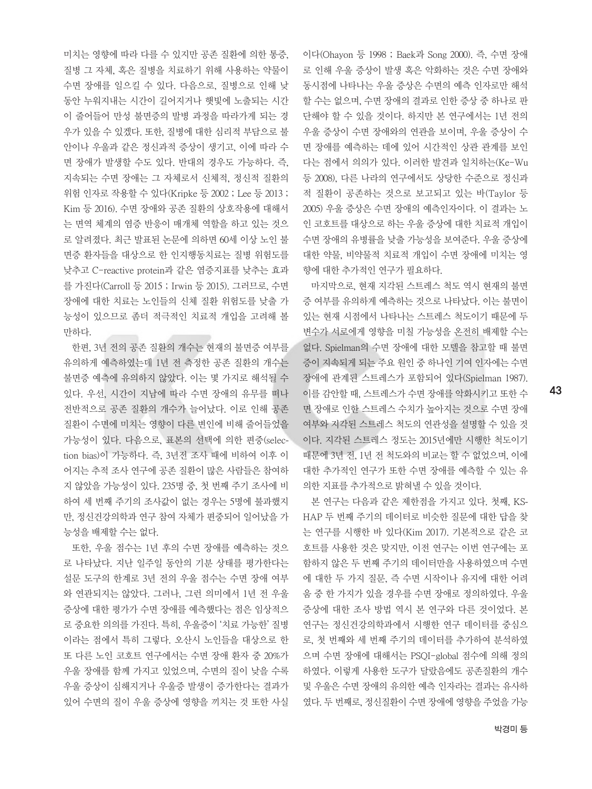미치는 영향에 따라 다를 수 있지만 공존 질환에 의한 통증, 질병 그 자체, 혹은 질병을 치료하기 위해 사용하는 약물이 수면 장애를 일으킬 수 있다. 다음으로, 질병으로 인해 낮 동안 누워지내는 시간이 길어지거나 햇빛에 노출되는 시간 이 줄어들어 만성 불면증의 발병 과정을 따라가게 되는 경 우가 있을 수 있겠다. 또한, 질병에 대한 심리적 부담으로 불 안이나 우울과 같은 정신과적 증상이 생기고, 이에 따라 수 면 장애가 발생할 수도 있다. 반대의 경우도 가능하다. 즉, 지속되는 수면 장애는 그 자체로서 신체적, 정신적 질환의 위험 인자로 작용할 수 있다(Kripke 등 2002 ; Lee 등 2013 ; Kim 등 2016). 수면 장애와 공존 질환의 상호작용에 대해서 는 면역 체계의 염증 반응이 매개체 역할을 하고 있는 것으 로 알려졌다. 최근 발표된 논문에 의하면 60세 이상 노인 불 면증 환자들을 대상으로 한 인지행동치료는 질병 위험도를 낮추고 C-reactive protein과 같은 염증지표를 낮추는 효과 를 가진다(Carroll 등 2015 ; Irwin 등 2015). 그러므로, 수면 장애에 대한 치료는 노인들의 신체 질환 위험도를 낮출 가 능성이 있으므로 좀더 적극적인 치료적 개입을 고려해 볼 만하다.

한편, 3년 전의 공존 질환의 개수는 현재의 불면증 여부를 유의하게 예측하였는데 1년 전 측정한 공존 질환의 개수는 불면증 예측에 유의하지 않았다. 이는 몇 가지로 해석될 수 있다. 우선, 시간이 지남에 따라 수면 장애의 유무를 떠나 전반적으로 공존 질환의 개수가 늘어났다. 이로 인해 공존 질환이 수면에 미치는 영향이 다른 변인에 비해 줄어들었을 가능성이 있다. 다음으로, 표본의 선택에 의한 편중(selection bias)이 가능하다. 즉, 3년전 조사 때에 비하여 이후 이 어지는 추적 조사 연구에 공존 질환이 많은 사람들은 참여하 지 않았을 가능성이 있다. 235명 중, 첫 번째 주기 조사에 비 하여 세 번째 주기의 조사값이 없는 경우는 5명에 불과했지 만, 정신건강의학과 연구 참여 자체가 편중되어 일어났을 가 능성을 배제할 수는 없다.

또한, 우울 점수는 1년 후의 수면 장애를 예측하는 것으 로 나타났다. 지난 일주일 동안의 기분 상태를 평가한다는 설문 도구의 한계로 3년 전의 우울 점수는 수면 장애 여부 와 연관되지는 않았다. 그러나, 그런 의미에서 1년 전 우울 증상에 대한 평가가 수면 장애를 예측했다는 점은 임상적으 로 중요한 의의를 가진다. 특히, 우울증이 '치료 가능한' 질병 이라는 점에서 특히 그렇다. 오산시 노인들을 대상으로 한 또 다른 노인 코호트 연구에서는 수면 장애 환자 중 20%가 우울 장애를 함께 가지고 있었으며, 수면의 질이 낮을 수록 우울 증상이 심해지거나 우울증 발생이 증가한다는 결과가 있어 수면의 질이 우울 증상에 영향을 끼치는 것 또한 사실

이다(Ohayon 등 1998 ; Baek과 Song 2000). 즉, 수면 장애 로 인해 우울 증상이 발생 혹은 악화하는 것은 수면 장애와 동시점에 나타나는 우울 증상은 수면의 예측 인자로만 해석 할 수는 없으며, 수면 장애의 결과로 인한 증상 중 하나로 판 단해야 할 수 있을 것이다. 하지만 본 연구에서는 1년 전의 우울 증상이 수면 장애와의 연관을 보이며, 우울 증상이 수 면 장애를 예측하는 데에 있어 시간적인 상관 관계를 보인 다는 점에서 의의가 있다. 이러한 발견과 일치하는(Ke-Wu 등 2008), 다른 나라의 연구에서도 상당한 수준으로 정신과 적 질환이 공존하는 것으로 보고되고 있는 바(Taylor 등 2005) 우울 증상은 수면 장애의 예측인자이다. 이 결과는 노 인 코호트를 대상으로 하는 우울 증상에 대한 치료적 개입이 수면 장애의 유병률을 낮출 가능성을 보여준다. 우울 증상에 대한 약물, 비약물적 치료적 개입이 수면 장애에 미치는 영 향에 대한 추가적인 연구가 필요하다.

마지막으로, 현재 지각된 스트레스 척도 역시 현재의 불면 증 여부를 유의하게 예측하는 것으로 나타났다. 이는 불면이 있는 현재 시점에서 나타나는 스트레스 척도이기 때문에 두 변수가 서로에게 영향을 미칠 가능성을 온전히 배제할 수는 없다. Spielman의 수면 장애에 대한 모델을 참고할 때 불면 증이 지속되게 되는 주요 원인 중 하나인 기여 인자에는 수면 장애에 관계된 스트레스가 포함되어 있다(Spielman 1987). 이를 감안할 때, 스트레스가 수면 장애를 악화시키고 또한 수 면 장애로 인한 스트레스 수치가 높아지는 것으로 수면 장애 여부와 지각된 스트레스 척도의 연관성을 설명할 수 있을 것 이다. 지각된 스트레스 정도는 2015년에만 시행한 척도이기 때문에 3년 전, 1년 전 척도와의 비교는 할 수 없었으며, 이에 대한 추가적인 연구가 또한 수면 장애를 예측할 수 있는 유 의한 지표를 추가적으로 밝혀낼 수 있을 것이다.

본 연구는 다음과 같은 제한점을 가지고 있다. 첫째, KS-HAP 두 번째 주기의 데이터로 비슷한 질문에 대한 답을 찾 는 연구를 시행한 바 있다(Kim 2017). 기본적으로 같은 코 호트를 사용한 것은 맞지만, 이전 연구는 이번 연구에는 포 함하지 않은 두 번째 주기의 데이터만을 사용하였으며 수면 에 대한 두 가지 질문, 즉 수면 시작이나 유지에 대한 어려 움 중 한 가지가 있을 경우를 수면 장애로 정의하였다. 우울 증상에 대한 조사 방법 역시 본 연구와 다른 것이었다. 본 연구는 정신건강의학과에서 시행한 연구 데이터를 중심으 로, 첫 번째와 세 번째 주기의 데이터를 추가하여 분석하였 으며 수면 장애에 대해서는 PSQI-global 점수에 의해 정의 하였다. 이렇게 사용한 도구가 달랐음에도 공존질환의 개수 및 우울은 수면 장애의 유의한 예측 인자라는 결과는 유사하 였다. 두 번째로, 정신질환이 수면 장애에 영향을 주었을 가능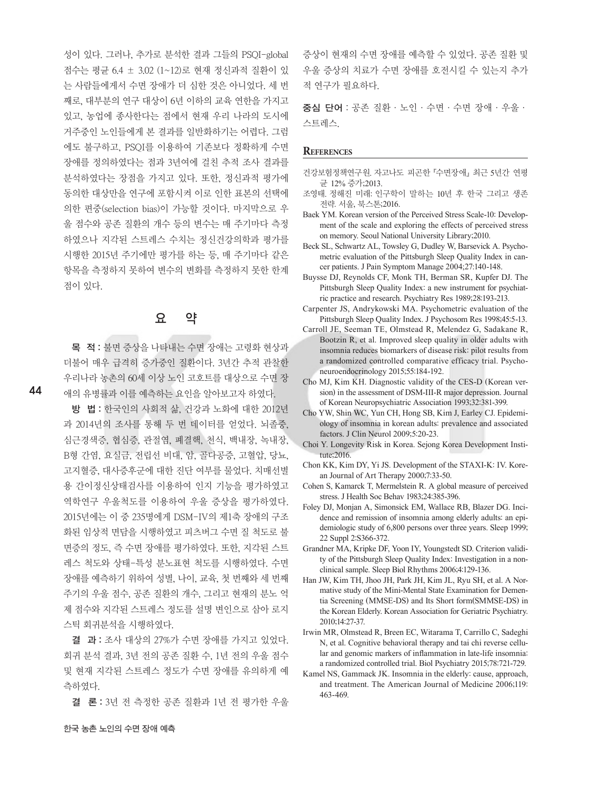성이 있다. 그러나, 추가로 분석한 결과 그들의 PSQI-global 점수는 평균 6.4 ± 3.02 (1~12)로 현재 정신과적 질환이 있 는 사람들에게서 수면 장애가 더 심한 것은 아니었다. 세 번 째로, 대부분의 연구 대상이 6년 이하의 교육 연한을 가지고 있고, 농업에 종사한다는 점에서 현재 우리 나라의 도시에 거주중인 노인들에게 본 결과를 일반화하기는 어렵다. 그럼 에도 불구하고, PSQI를 이용하여 기존보다 정확하게 수면 장애를 정의하였다는 점과 3년여에 걸친 추적 조사 결과를 분석하였다는 장점을 가지고 있다. 또한, 정신과적 평가에 동의한 대상만을 연구에 포함시켜 이로 인한 표본의 선택에 의한 편중(selection bias)이 가능할 것이다. 마지막으로 우 울 점수와 공존 질환의 개수 등의 변수는 매 주기마다 측정 하였으나 지각된 스트레스 수치는 정신건강의학과 평가를 시행한 2015년 주기에만 평가를 하는 등, 매 주기마다 같은 항목을 측정하지 못하여 변수의 변화를 측정하지 못한 한계 점이 있다.

# 요 약

목 적:불면 증상을 나타내는 수면 장애는 고령화 현상과 더불어 매우 급격히 증가중인 질환이다. 3년간 추적 관찰한 우리나라 농촌의 60세 이상 노인 코호트를 대상으로 수면 장 애의 유병률과 이를 예측하는 요인을 알아보고자 하였다.

방 법:한국인의 사회적 삶, 건강과 노화에 대한 2012년 과 2014년의 조사를 통해 두 번 데이터를 얻었다. 뇌졸중, 심근경색증, 협심증, 관절염, 폐결핵, 천식, 백내장, 녹내장, B형 간염, 요실금, 전립선 비대, 암, 골다공증, 고혈압, 당뇨, 고지혈증, 대사증후군에 대한 진단 여부를 물었다. 치매선별 용 간이정신상태검사를 이용하여 인지 기능을 평가하였고 역학연구 우울척도를 이용하여 우울 증상을 평가하였다. 2015년에는 이 중 235명에게 DSM-IV의 제1축 장애의 구조 화된 임상적 면담을 시행하였고 피츠버그 수면 질 척도로 불 면증의 정도, 즉 수면 장애를 평가하였다. 또한, 지각된 스트 레스 척도와 상태-특성 분노표현 척도를 시행하였다. 수면 장애를 예측하기 위하여 성별, 나이, 교육, 첫 번째와 세 번째 주기의 우울 점수, 공존 질환의 개수, 그리고 현재의 분노 억 제 점수와 지각된 스트레스 정도를 설명 변인으로 삼아 로지 스틱 회귀분석을 시행하였다.

결 과:조사 대상의 27%가 수면 장애를 가지고 있었다. 회귀 분석 결과, 3년 전의 공존 질환 수, 1년 전의 우울 점수 및 현재 지각된 스트레스 정도가 수면 장애를 유의하게 예 측하였다.

결 론:3년 전 측정한 공존 질환과 1년 전 평가한 우울

증상이 현재의 수면 장애를 예측할 수 있었다. 공존 질환 및 우울 증상의 치료가 수면 장애를 호전시킬 수 있는지 추가 적 연구가 필요하다.

중심 단어:공존 질환·노인·수면·수면 장애·우울· 스트레스.

#### **REFERENCES**

- 건강보험정책연구원. 자고나도 피곤한 『수면장애』 최근 5년간 연평 균 12% 증가;2013.
- 조영태. 정해진 미래: 인구학이 말하는 10년 후 한국 그리고 생존 전략. 서울, 북스톤;2016.
- Baek YM. Korean version of the Perceived Stress Scale-10: Development of the scale and exploring the effects of perceived stress on memory. Seoul National University Library;2010.
- Beck SL, Schwartz AL, Towsley G, Dudley W, Barsevick A. Psychometric evaluation of the Pittsburgh Sleep Quality Index in cancer patients. J Pain Symptom Manage 2004;27:140-148.
- Buysse DJ, Reynolds CF, Monk TH, Berman SR, Kupfer DJ. The Pittsburgh Sleep Quality Index: a new instrument for psychiatric practice and research. Psychiatry Res 1989;28:193-213.
- Carpenter JS, Andrykowski MA. Psychometric evaluation of the Pittsburgh Sleep Quality Index. J Psychosom Res 1998;45:5-13.
- Carroll JE, Seeman TE, Olmstead R, Melendez G, Sadakane R, Bootzin R, et al. Improved sleep quality in older adults with insomnia reduces biomarkers of disease risk: pilot results from a randomized controlled comparative efficacy trial. Psychoneuroendocrinology 2015;55:184-192.
- Cho MJ, Kim KH. Diagnostic validity of the CES-D (Korean version) in the assessment of DSM-III-R major depression. Journal of Korean Neuropsychiatric Association 1993;32:381-399.
- Cho YW, Shin WC, Yun CH, Hong SB, Kim J, Earley CJ. Epidemiology of insomnia in korean adults: prevalence and associated factors. J Clin Neurol 2009;5:20-23.
- Choi Y. Longevity Risk in Korea. Sejong Korea Development Institute;2016.
- Chon KK, Kim DY, Yi JS. Development of the STAXI-K: IV. Korean Journal of Art Therapy 2000;7:33-50.
- Cohen S, Kamarck T, Mermelstein R. A global measure of perceived stress. J Health Soc Behav 1983;24:385-396.
- Foley DJ, Monjan A, Simonsick EM, Wallace RB, Blazer DG. Incidence and remission of insomnia among elderly adults: an epidemiologic study of 6,800 persons over three years. Sleep 1999; 22 Suppl 2:S366-372.
- Grandner MA, Kripke DF, Yoon IY, Youngstedt SD. Criterion validity of the Pittsburgh Sleep Quality Index: Investigation in a nonclinical sample. Sleep Biol Rhythms 2006;4:129-136.
- Han JW, Kim TH, Jhoo JH, Park JH, Kim JL, Ryu SH, et al. A Normative study of the Mini-Mental State Examination for Dementia Screening (MMSE-DS) and Its Short form(SMMSE-DS) in the Korean Elderly. Korean Association for Geriatric Psychiatry. 2010;14:27-37.
- Irwin MR, Olmstead R, Breen EC, Witarama T, Carrillo C, Sadeghi N, et al. Cognitive behavioral therapy and tai chi reverse cellular and genomic markers of inflammation in late-life insomnia: a randomized controlled trial. Biol Psychiatry 2015;78:721-729.
- Kamel NS, Gammack JK. Insomnia in the elderly: cause, approach, and treatment. The American Journal of Medicine 2006;119: 463-469.